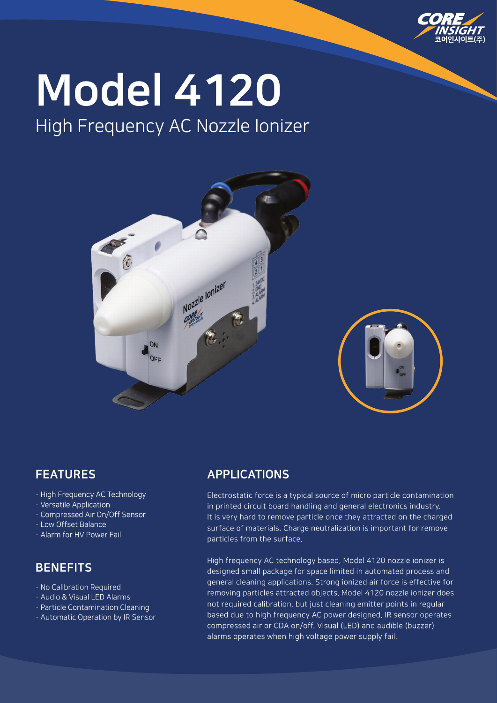

# Model 4120

# High Frequency AC Nozzle Ionizer



## FEATURES

- · High Frequency AC Technology
- · Versatile Application
- · Compressed Air On/Off Sensor
- · Low Offset Balance
- · Alarm for HV Power Fail

## **BENEFITS**

- · No Calibration Required
- · Audio & Visual LED Alarms
- · Particle Contamination Cleaning
- · Automatic Operation by IR Sensor

### APPLICATIONS

Electrostatic force is a typical source of micro particle contamination in printed circuit board handling and general electronics industry. It is very hard to remove particle once they attracted on the charged surface of materials. Charge neutralization is important for remove particles from the surface.

High frequency AC technology based, Model 4120 nozzle ionizer is designed small package for space limited in automated process and general cleaning applications. Strong ionized air force is effective for removing particles attracted objects. Model 4120 nozzle ionizer does not required calibration, but just cleaning emitter points in regular based due to high frequency AC power designed. IR sensor operates compressed air or CDA on/off. Visual (LED) and audible (buzzer) alarms operates when high voltage power supply fail.